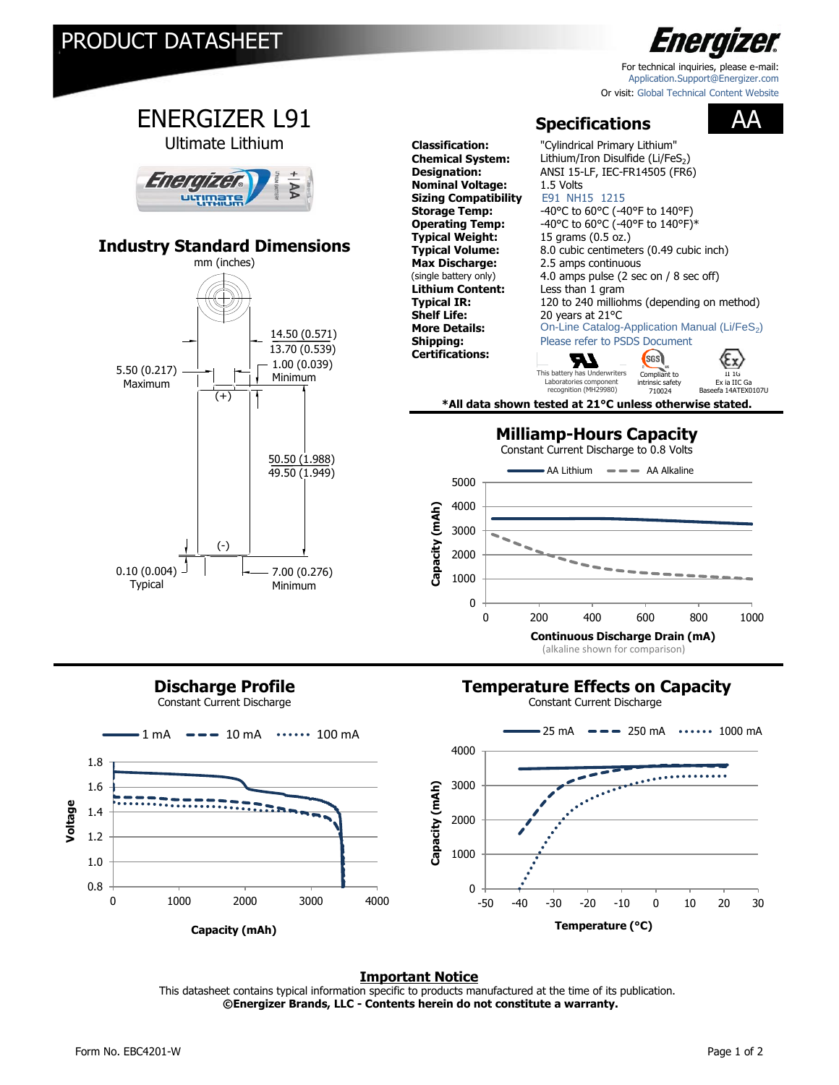

[For technical inquiries, please e-mail:](mailto:application.support.com) Application.Support@Energizer.com Or [visit: Global Technical Content Website](http://data.energizer.com/)



## **Discharge Profile**

Constant Current Discharge

## **Temperature Effects on Capacity**

Constant Current Discharge



### **Important Notice**

This datasheet contains typical information specific to products manufactured at the time of its publication.  **©Energizer Brands, LLC - Contents herein do not constitute a warranty.**